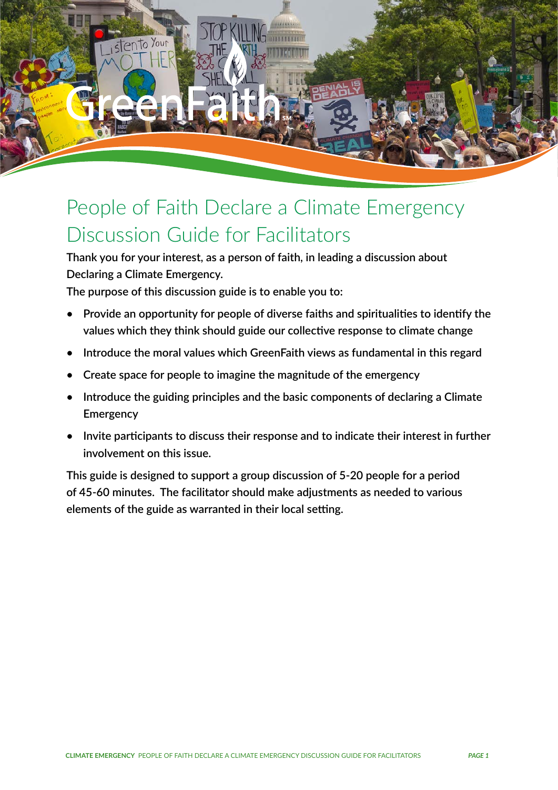

# People of Faith Declare a Climate Emergency Discussion Guide for Facilitators

**Thank you for your interest, as a person of faith, in leading a discussion about Declaring a Climate Emergency.** 

**The purpose of this discussion guide is to enable you to:** 

- **• Provide an opportunity for people of diverse faiths and spiritualities to identify the values which they think should guide our collective response to climate change**
- **• Introduce the moral values which GreenFaith views as fundamental in this regard**
- **• Create space for people to imagine the magnitude of the emergency**
- **• Introduce the guiding principles and the basic components of declaring a Climate Emergency**
- **• Invite participants to discuss their response and to indicate their interest in further involvement on this issue.**

**This guide is designed to support a group discussion of 5-20 people for a period of 45-60 minutes. The facilitator should make adjustments as needed to various elements of the guide as warranted in their local setting.**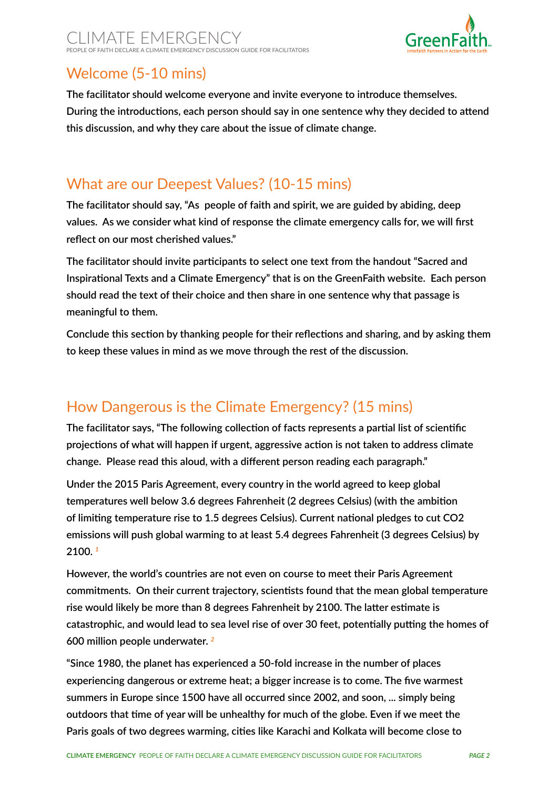

## Welcome (5-10 mins)

**The facilitator should welcome everyone and invite everyone to introduce themselves. During the introductions, each person should say in one sentence why they decided to attend this discussion, and why they care about the issue of climate change.**

### What are our Deepest Values? (10-15 mins)

**The facilitator should say, "As people of faith and spirit, we are guided by abiding, deep values. As we consider what kind of response the climate emergency calls for, we will first reflect on our most cherished values."**

**The facilitator should invite participants to select one text from the handout "Sacred and Inspirational Texts and a Climate Emergency" that is on the GreenFaith website. Each person should read the text of their choice and then share in one sentence why that passage is meaningful to them.**

**Conclude this section by thanking people for their reflections and sharing, and by asking them to keep these values in mind as we move through the rest of the discussion.** 

## How Dangerous is the Climate Emergency? (15 mins)

**The facilitator says, "The following collection of facts represents a partial list of scientific projections of what will happen if urgent, aggressive action is not taken to address climate change. Please read this aloud, with a different person reading each paragraph."**

**Under the 2015 Paris Agreement, every country in the world agreed to keep global temperatures well below 3.6 degrees Fahrenheit (2 degrees Celsius) (with the ambition of limiting temperature rise to 1.5 degrees Celsius). Current national pledges to cut CO2 emissions will push global warming to at least 5.4 degrees Fahrenheit (3 degrees Celsius) by 2100.** *<sup>1</sup>*

**However, the world's countries are not even on course to meet their Paris Agreement commitments. On their current trajectory, scientists found that the mean global temperature rise would likely be more than 8 degrees Fahrenheit by 2100. The latter estimate is catastrophic, and would lead to sea level rise of over 30 feet, potentially putting the homes of 600 million people underwater.** *<sup>2</sup>*

**"Since 1980, the planet has experienced a 50-fold increase in the number of places experiencing dangerous or extreme heat; a bigger increase is to come. The five warmest summers in Europe since 1500 have all occurred since 2002, and soon, ... simply being outdoors that time of year will be unhealthy for much of the globe. Even if we meet the Paris goals of two degrees warming, cities like Karachi and Kolkata will become close to**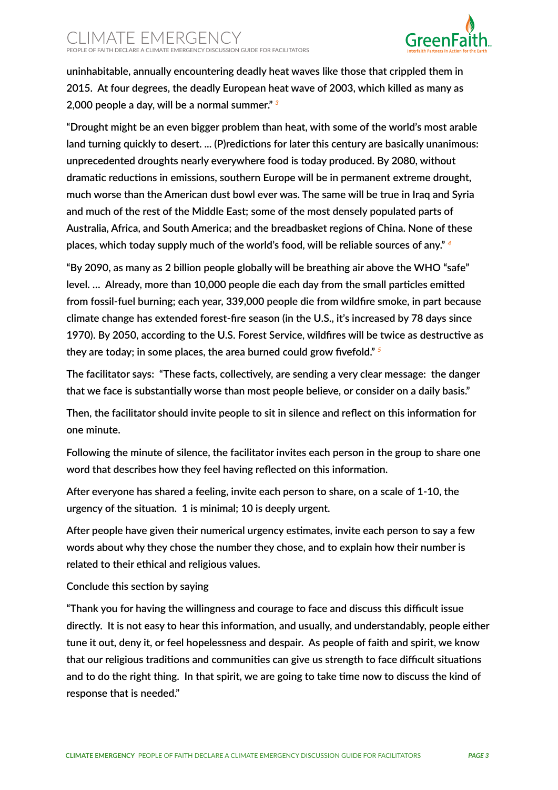

**uninhabitable, annually encountering deadly heat waves like those that crippled them in 2015. At four degrees, the deadly European heat wave of 2003, which killed as many as 2,000 people a day, will be a normal summer."** *<sup>3</sup>*

**"Drought might be an even bigger problem than heat, with some of the world's most arable land turning quickly to desert. ... (P)redictions for later this century are basically unanimous: unprecedented droughts nearly everywhere food is today produced. By 2080, without dramatic reductions in emissions, southern Europe will be in permanent extreme drought, much worse than the American dust bowl ever was. The same will be true in Iraq and Syria and much of the rest of the Middle East; some of the most densely populated parts of Australia, Africa, and South America; and the breadbasket regions of China. None of these places, which today supply much of the world's food, will be reliable sources of any."** *<sup>4</sup>*

**"By 2090, as many as 2 billion people globally will be breathing air above the WHO "safe" level. … Already, more than 10,000 people die each day from the small particles emitted from fossil-fuel burning; each year, 339,000 people die from wildfire smoke, in part because climate change has extended forest-fire season (in the U.S., it's increased by 78 days since 1970). By 2050, according to the U.S. Forest Service, wildfires will be twice as destructive as they are today; in some places, the area burned could grow fivefold."** *<sup>5</sup>*

**The facilitator says: "These facts, collectively, are sending a very clear message: the danger that we face is substantially worse than most people believe, or consider on a daily basis."**

**Then, the facilitator should invite people to sit in silence and reflect on this information for one minute.** 

**Following the minute of silence, the facilitator invites each person in the group to share one word that describes how they feel having reflected on this information.**

**After everyone has shared a feeling, invite each person to share, on a scale of 1-10, the urgency of the situation. 1 is minimal; 10 is deeply urgent.**

**After people have given their numerical urgency estimates, invite each person to say a few words about why they chose the number they chose, and to explain how their number is related to their ethical and religious values.**

#### **Conclude this section by saying**

**"Thank you for having the willingness and courage to face and discuss this difficult issue directly. It is not easy to hear this information, and usually, and understandably, people either tune it out, deny it, or feel hopelessness and despair. As people of faith and spirit, we know that our religious traditions and communities can give us strength to face difficult situations and to do the right thing. In that spirit, we are going to take time now to discuss the kind of response that is needed."**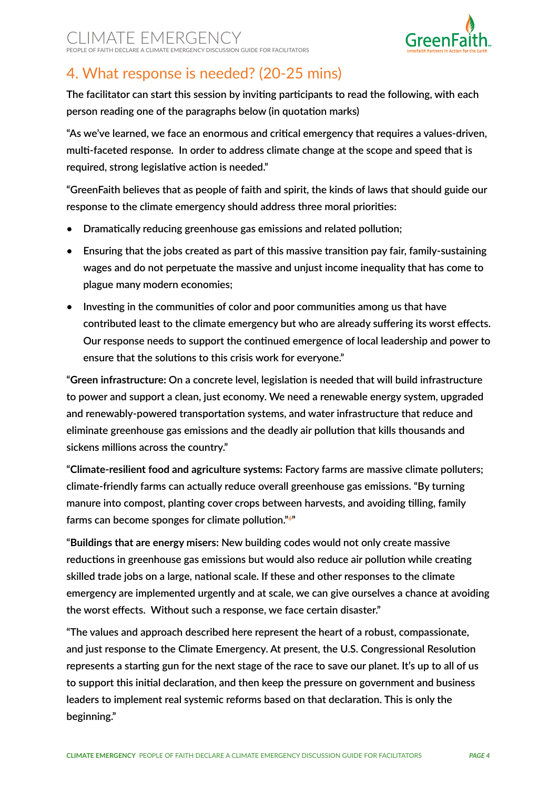

# 4. What response is needed? (20-25 mins)

**The facilitator can start this session by inviting participants to read the following, with each person reading one of the paragraphs below (in quotation marks)**

**"As we've learned, we face an enormous and critical emergency that requires a values-driven, multi-faceted response. In order to address climate change at the scope and speed that is required, strong legislative action is needed."**

**"GreenFaith believes that as people of faith and spirit, the kinds of laws that should guide our response to the climate emergency should address three moral priorities:**

- **• Dramatically reducing greenhouse gas emissions and related pollution;**
- **• Ensuring that the jobs created as part of this massive transition pay fair, family-sustaining wages and do not perpetuate the massive and unjust income inequality that has come to plague many modern economies;**
- **• Investing in the communities of color and poor communities among us that have contributed least to the climate emergency but who are already suffering its worst effects. Our response needs to support the continued emergence of local leadership and power to ensure that the solutions to this crisis work for everyone."**

**"Green infrastructure: On a concrete level, legislation is needed that will build infrastructure to power and support a clean, just economy. We need a renewable energy system, upgraded and renewably-powered transportation systems, and water infrastructure that reduce and eliminate greenhouse gas emissions and the deadly air pollution that kills thousands and sickens millions across the country."**

**"Climate-resilient food and agriculture systems: Factory farms are massive climate polluters; climate-friendly farms can actually reduce overall greenhouse gas emissions. "By turning manure into compost, planting cover crops between harvests, and avoiding tilling, family farms can become sponges for climate pollution."***<sup>6</sup>* **"**

**"Buildings that are energy misers: New building codes would not only create massive reductions in greenhouse gas emissions but would also reduce air pollution while creating skilled trade jobs on a large, national scale. If these and other responses to the climate emergency are implemented urgently and at scale, we can give ourselves a chance at avoiding the worst effects. Without such a response, we face certain disaster."**

**"The values and approach described here represent the heart of a robust, compassionate, and just response to the Climate Emergency. At present, the U.S. Congressional Resolution represents a starting gun for the next stage of the race to save our planet. It's up to all of us to support this initial declaration, and then keep the pressure on government and business leaders to implement real systemic reforms based on that declaration. This is only the beginning."**